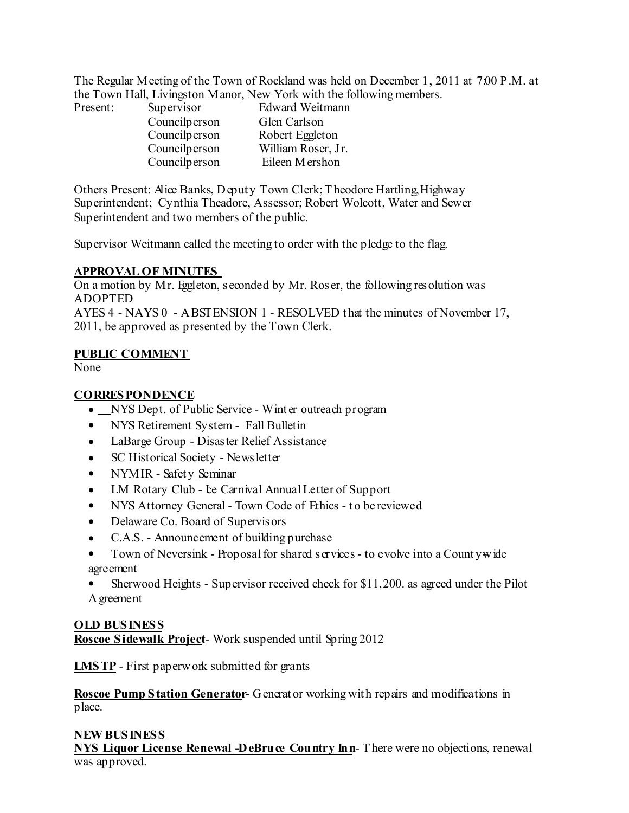The Regular Meeting of the Town of Rockland was held on December 1, 2011 at 7:00 P.M. at the Town Hall, Livingston Manor, New York with the following members.

| Present: | Supervisor    | <b>Edward Weitmann</b> |  |
|----------|---------------|------------------------|--|
|          | Councilperson | Glen Carlson           |  |
|          | Councilperson | Robert Eggleton        |  |
|          | Councilperson | William Roser, Jr.     |  |
|          | Councilperson | Eileen Mershon         |  |

Others Present: Alice Banks, Deput y Town Clerk;Theodore Hartling,Highway Superintendent; Cynthia Theadore, Assessor; Robert Wolcott, Water and Sewer Superintendent and two members of the public.

Supervisor Weitmann called the meeting to order with the pledge to the flag.

## **APPROVAL OF MINUTES**

On a motion by Mr. Eggleton, seconded by Mr. Roser, the following resolution was ADOPTED

AYES 4 - NAYS 0 - ABSTENSION 1 - RESOLVED t hat the minutes of November 17, 2011, be approved as presented by the Town Clerk.

## **PUBLIC COMMENT**

None

# **CORRESPONDENCE**

- NYS Dept. of Public Service Wint er outreach program
- NYS Retirement System Fall Bulletin
- LaBarge Group Disaster Relief Assistance
- SC Historical Society Newsletter
- NYMIR Safet y Seminar
- LM Rotary Club Le Carnival Annual Letter of Support
- NYS Attorney General Town Code of Ethics to be reviewed
- Delaware Co. Board of Supervisors
- C.A.S. Announcement of building purchase
- Town of Neversink Proposal for shared services to evolve into a Count ywide agreement
- Sherwood Heights Supervisor received check for \$11,200. as agreed under the Pilot Agreement

# **OLD BUSINESS Roscoe Sidewalk Project**- Work suspended until Spring 2012

**LMSTP** - First paperwork submitted for grants

**Roscoe Pump Station Generator**- Generat or working wit h repairs and modifications in place.

# **NEWBUSINESS**

**NYS Liquor License Renewal -DeBruce Country Inn**- There were no objections, renewal was approved.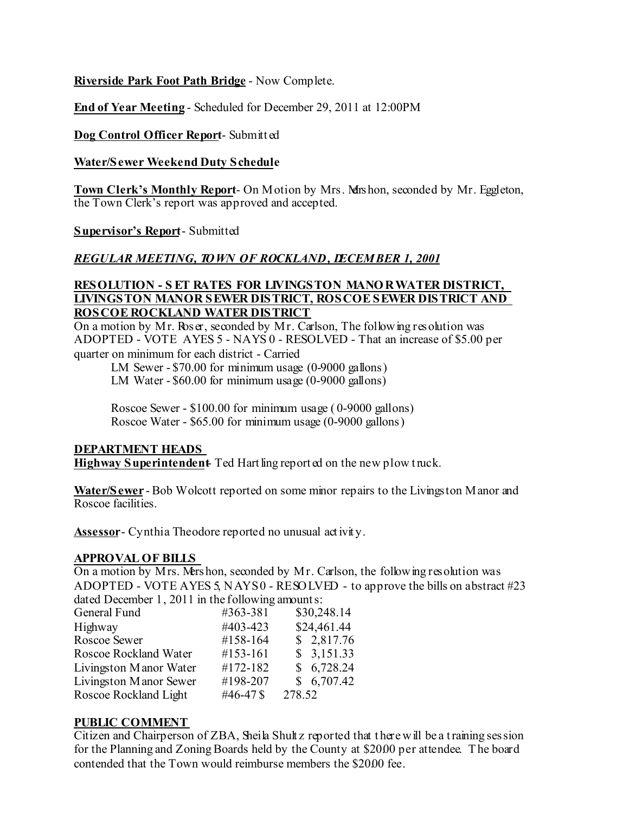**Riverside Park Foot Path Bridge** - Now Complete.

**End of Year Meeting** - Scheduled for December 29, 2011 at 12:00PM

### **Dog Control Officer Report**- Submitt ed

#### **Water/Sewer Weekend Duty Schedule**

**Town Clerk's Monthly Report**- On Motion by Mrs. Mershon, seconded by Mr. Eggleton, the Town Clerk's report was approved and accepted.

#### **Supervisor's Report**- Submitted

### *REGULAR MEETING, TOWN OF ROCKLAND, DECEMBER 1, 2001*

## **RESOLUTION - S ET RATES FOR LIVINGSTON MANORWATER DISTRICT, LIVINGSTON MANOR SEWER DISTRICT, ROSCOESEWER DISTRICT AND ROSCOE ROCKLAND WATER DISTRICT**

On a motion by Mr. Roser, seconded by Mr. Carlson, The following resolution was ADOPTED - VOTE AYES 5 - NAYS 0 - RESOLVED - That an increase of \$5.00 per quarter on minimum for each district - Carried

LM Sewer - \$70.00 for minimum usage (0-9000 gallons)

LM Water - \$60.00 for minimum usage (0-9000 gallons)

Roscoe Sewer - \$100.00 for minimum usage ( 0-9000 gallons) Roscoe Water - \$65.00 for minimum usage (0-9000 gallons)

#### **DEPARTMENT HEADS**

**Highway** Superintendent Ted Hartling reported on the new plow truck.

**Water/Sewer** - Bob Wolcott reported on some minor repairs to the Livingston Manor and Roscoe facilities.

**Assessor**- Cynthia Theodore reported no unusual activity.

#### **APPROVAL OF BILLS**

On a motion by Mrs. Mershon, seconded by Mr. Carlson, the following resolution was ADOPTED - VOTE AYES 5, NAYS0 - RESOLVED - to approve the bills on abstract #23 dated December 1, 2011 in the following amounts:

| General Fund           | #363-381             | \$30,248.14 |
|------------------------|----------------------|-------------|
| Highway                | #403-423             | \$24,461.44 |
| Roscoe Sewer           | #158-164             | \$2,817.76  |
| Roscoe Rockland Water  | #153-161             | \$3,151.33  |
| Livingston Manor Water | #172-182             | \$6,728.24  |
| Livingston Manor Sewer | #198-207             | \$6,707.42  |
| Roscoe Rockland Light  | #46-47 $\frac{1}{2}$ | 278.52      |
|                        |                      |             |

### **PUBLIC COMMENT**

Citizen and Chairperson of ZBA, Sheila Shult z reported that there will be a training session for the Planning and Zoning Boards held by the County at \$2000 per attendee. The board contended that the Town would reimburse members the \$20.00 fee.